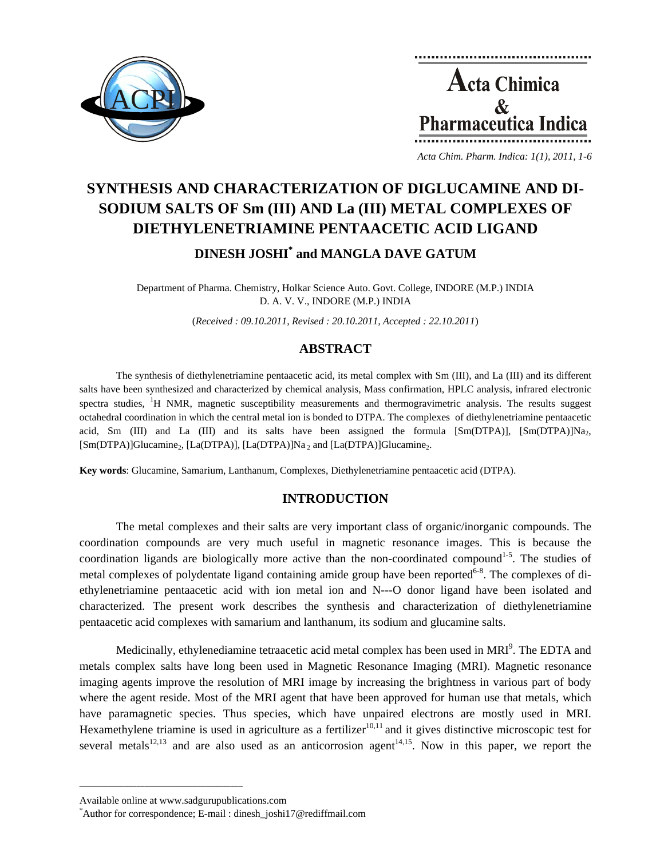



*Acta Chim. Pharm. Indica: 1(1), 2011, 1-6*

# **SYNTHESIS AND CHARACTERIZATION OF DIGLUCAMINE AND DI-SODIUM SALTS OF Sm (III) AND La (III) METAL COMPLEXES OF DIETHYLENETRIAMINE PENTAACETIC ACID LIGAND DINESH JOSHI\* and MANGLA DAVE GATUM**

Department of Pharma. Chemistry, Holkar Science Auto. Govt. College, INDORE (M.P.) INDIA D. A. V. V., INDORE (M.P.) INDIA

(*Received : 09.10.2011, Revised : 20.10.2011, Accepted : 22.10.2011*)

## **ABSTRACT**

The synthesis of diethylenetriamine pentaacetic acid, its metal complex with Sm (III), and La (III) and its different salts have been synthesized and characterized by chemical analysis, Mass confirmation, HPLC analysis, infrared electronic spectra studies, <sup>1</sup>H NMR, magnetic susceptibility measurements and thermogravimetric analysis. The results suggest octahedral coordination in which the central metal ion is bonded to DTPA. The complexes of diethylenetriamine pentaacetic acid, Sm (III) and La (III) and its salts have been assigned the formula  $[Sm(DTPA)]$ ,  $[Sm(DTPA)]Na_2$ ,  $[Sm(DTPA)]G$ lucamine<sub>2</sub>,  $[La(DTPA)]$ ,  $[La(DTPA)]Na$ <sub>2</sub> and  $[La(DTPA)]G$ lucamine<sub>2</sub>.

**Key words**: Glucamine, Samarium, Lanthanum, Complexes, Diethylenetriamine pentaacetic acid (DTPA).

#### **INTRODUCTION**

The metal complexes and their salts are very important class of organic/inorganic compounds. The coordination compounds are very much useful in magnetic resonance images. This is because the coordination ligands are biologically more active than the non-coordinated compound<sup>1-5</sup>. The studies of metal complexes of polydentate ligand containing amide group have been reported<sup>6-8</sup>. The complexes of diethylenetriamine pentaacetic acid with ion metal ion and N---O donor ligand have been isolated and characterized. The present work describes the synthesis and characterization of diethylenetriamine pentaacetic acid complexes with samarium and lanthanum, its sodium and glucamine salts.

Medicinally, ethylenediamine tetraacetic acid metal complex has been used in MRI<sup>9</sup>. The EDTA and metals complex salts have long been used in Magnetic Resonance Imaging (MRI). Magnetic resonance imaging agents improve the resolution of MRI image by increasing the brightness in various part of body where the agent reside. Most of the MRI agent that have been approved for human use that metals, which have paramagnetic species. Thus species, which have unpaired electrons are mostly used in MRI. Hexamethylene triamine is used in agriculture as a fertilizer  $10,11$  and it gives distinctive microscopic test for several metals<sup>12,13</sup> and are also used as an anticorrosion agent<sup>14,15</sup>. Now in this paper, we report the

**\_\_\_\_\_\_\_\_\_\_\_\_\_\_\_\_\_\_\_\_\_\_\_\_\_\_\_\_\_\_\_\_\_\_\_\_\_\_\_\_**

Available online at www.sadgurupublications.com \*

Author for correspondence; E-mail : dinesh\_joshi17@rediffmail.com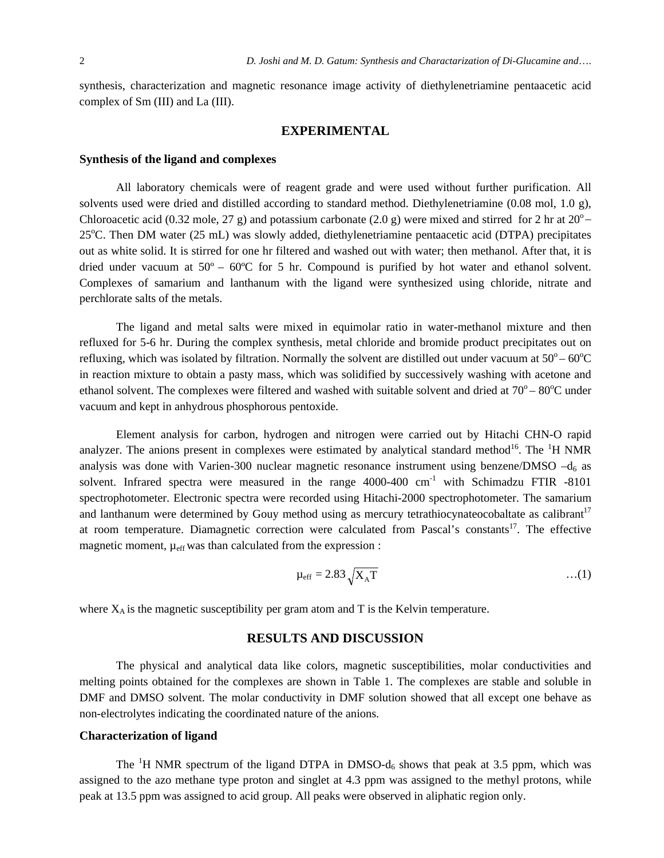synthesis, characterization and magnetic resonance image activity of diethylenetriamine pentaacetic acid complex of Sm (III) and La (III).

#### **EXPERIMENTAL**

#### **Synthesis of the ligand and complexes**

All laboratory chemicals were of reagent grade and were used without further purification. All solvents used were dried and distilled according to standard method. Diethylenetriamine (0.08 mol, 1.0 g), Chloroacetic acid (0.32 mole, 27 g) and potassium carbonate (2.0 g) were mixed and stirred for 2 hr at  $20^{\circ}$  – 25°C. Then DM water (25 mL) was slowly added, diethylenetriamine pentaacetic acid (DTPA) precipitates out as white solid. It is stirred for one hr filtered and washed out with water; then methanol. After that, it is dried under vacuum at  $50^{\circ} - 60^{\circ}$ C for 5 hr. Compound is purified by hot water and ethanol solvent. Complexes of samarium and lanthanum with the ligand were synthesized using chloride, nitrate and perchlorate salts of the metals.

The ligand and metal salts were mixed in equimolar ratio in water-methanol mixture and then refluxed for 5-6 hr. During the complex synthesis, metal chloride and bromide product precipitates out on refluxing, which was isolated by filtration. Normally the solvent are distilled out under vacuum at  $50^{\circ} - 60^{\circ}$ C in reaction mixture to obtain a pasty mass, which was solidified by successively washing with acetone and ethanol solvent. The complexes were filtered and washed with suitable solvent and dried at  $70^{\circ} - 80^{\circ}$ C under vacuum and kept in anhydrous phosphorous pentoxide.

Element analysis for carbon, hydrogen and nitrogen were carried out by Hitachi CHN-O rapid analyzer. The anions present in complexes were estimated by analytical standard method<sup>16</sup>. The <sup>1</sup>H NMR analysis was done with Varien-300 nuclear magnetic resonance instrument using benzene/DMSO  $-d_6$  as solvent. Infrared spectra were measured in the range  $4000-400$  cm<sup>-1</sup> with Schimadzu FTIR  $-8101$ spectrophotometer. Electronic spectra were recorded using Hitachi-2000 spectrophotometer. The samarium and lanthanum were determined by Gouy method using as mercury tetrathiocynateocobaltate as calibrant<sup>17</sup> at room temperature. Diamagnetic correction were calculated from Pascal's constants<sup>17</sup>. The effective magnetic moment,  $\mu_{eff}$  was than calculated from the expression :

$$
\mu_{\rm eff} = 2.83 \sqrt{X_{\rm A}T} \tag{1}
$$

where  $X_A$  is the magnetic susceptibility per gram atom and T is the Kelvin temperature.

#### **RESULTS AND DISCUSSION**

The physical and analytical data like colors, magnetic susceptibilities, molar conductivities and melting points obtained for the complexes are shown in Table 1. The complexes are stable and soluble in DMF and DMSO solvent. The molar conductivity in DMF solution showed that all except one behave as non-electrolytes indicating the coordinated nature of the anions.

#### **Characterization of ligand**

The <sup>1</sup>H NMR spectrum of the ligand DTPA in DMSO- $d_6$  shows that peak at 3.5 ppm, which was assigned to the azo methane type proton and singlet at 4.3 ppm was assigned to the methyl protons, while peak at 13.5 ppm was assigned to acid group. All peaks were observed in aliphatic region only.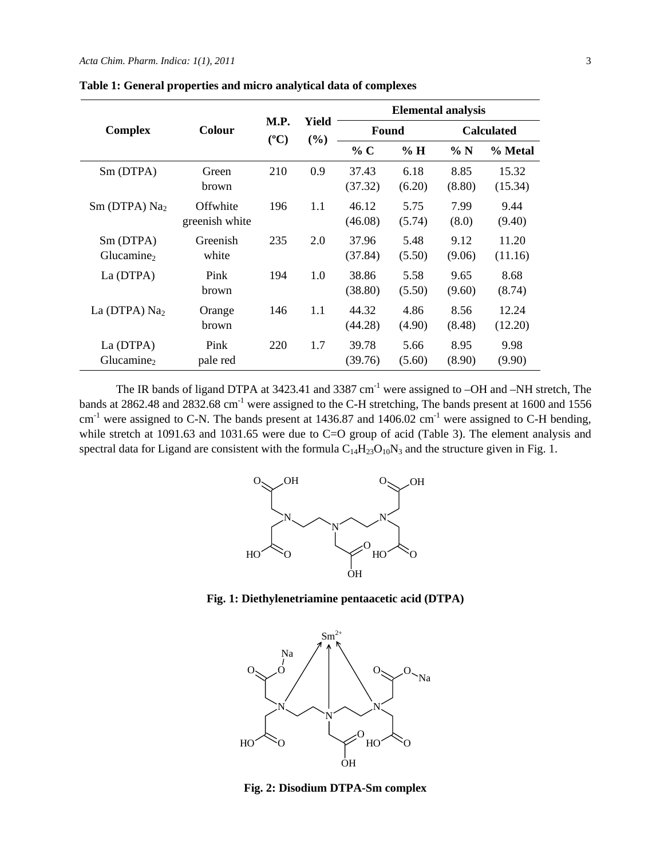| <b>Complex</b>                      | <b>Colour</b>              | M.P.<br>$(^{\circ}C)$ | Yield<br>(%) | <b>Elemental analysis</b> |                |                   |                  |
|-------------------------------------|----------------------------|-----------------------|--------------|---------------------------|----------------|-------------------|------------------|
|                                     |                            |                       |              | Found                     |                | <b>Calculated</b> |                  |
|                                     |                            |                       |              | % C                       | $\%$ H         | $\% N$            | % Metal          |
| Sm (DTPA)                           | Green<br>brown             | 210                   | 0.9          | 37.43<br>(37.32)          | 6.18<br>(6.20) | 8.85<br>(8.80)    | 15.32<br>(15.34) |
| $Sm$ (DTPA) $Na2$                   | Offwhite<br>greenish white | 196                   | 1.1          | 46.12<br>(46.08)          | 5.75<br>(5.74) | 7.99<br>(8.0)     | 9.44<br>(9.40)   |
| Sm (DTPA)<br>Glucamine <sub>2</sub> | Greenish<br>white          | 235                   | 2.0          | 37.96<br>(37.84)          | 5.48<br>(5.50) | 9.12<br>(9.06)    | 11.20<br>(11.16) |
| La (DTPA)                           | Pink<br>brown              | 194                   | 1.0          | 38.86<br>(38.80)          | 5.58<br>(5.50) | 9.65<br>(9.60)    | 8.68<br>(8.74)   |
| La (DTPA) $Na2$                     | Orange<br>brown            | 146                   | 1.1          | 44.32<br>(44.28)          | 4.86<br>(4.90) | 8.56<br>(8.48)    | 12.24<br>(12.20) |
| La (DTPA)<br>Glucamine <sub>2</sub> | Pink<br>pale red           | 220                   | 1.7          | 39.78<br>(39.76)          | 5.66<br>(5.60) | 8.95<br>(8.90)    | 9.98<br>(9.90)   |

**Table 1: General properties and micro analytical data of complexes** 

The IR bands of ligand DTPA at 3423.41 and 3387 cm<sup>-1</sup> were assigned to -OH and -NH stretch, The bands at 2862.48 and 2832.68 cm<sup>-1</sup> were assigned to the C-H stretching, The bands present at 1600 and 1556  $cm^{-1}$  were assigned to C-N. The bands present at 1436.87 and 1406.02  $cm^{-1}$  were assigned to C-H bending, while stretch at 1091.63 and 1031.65 were due to C=O group of acid (Table 3). The element analysis and spectral data for Ligand are consistent with the formula  $C_{14}H_{23}O_{10}N_3$  and the structure given in Fig. 1.



**Fig. 1: Diethylenetriamine pentaacetic acid (DTPA)** 



**Fig. 2: Disodium DTPA-Sm complex**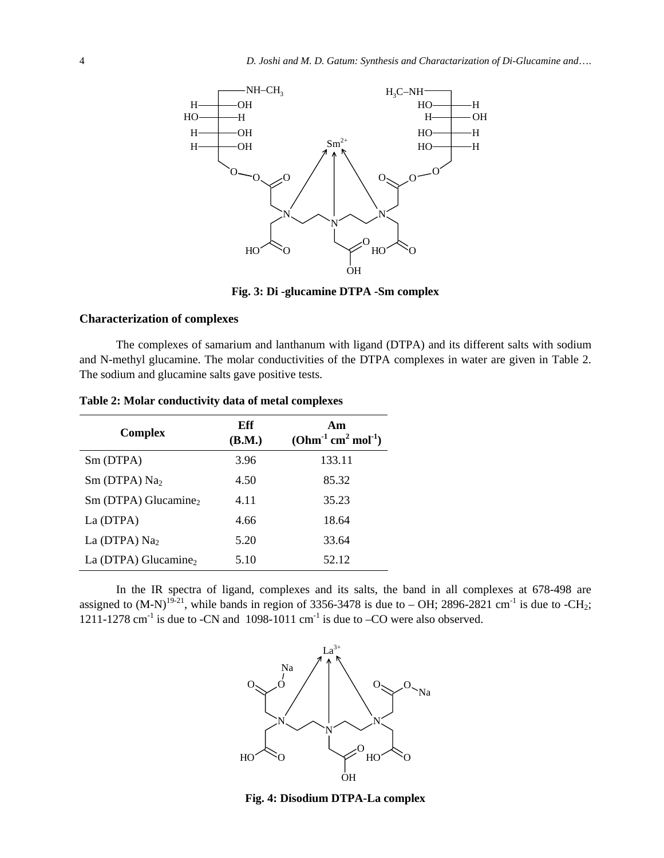

**Fig. 3: Di -glucamine DTPA -Sm complex** 

#### **Characterization of complexes**

The complexes of samarium and lanthanum with ligand (DTPA) and its different salts with sodium and N-methyl glucamine. The molar conductivities of the DTPA complexes in water are given in Table 2. The sodium and glucamine salts gave positive tests.

| <b>Complex</b>                   | Eff<br>(B.M.) | Am<br>$(Ohm^{-1}$ cm <sup>2</sup> mol <sup>-1</sup> ) |  |  |
|----------------------------------|---------------|-------------------------------------------------------|--|--|
| Sm (DTPA)                        | 3.96          | 133.11                                                |  |  |
| $Sm$ (DTPA) $Na2$                | 4.50          | 85.32                                                 |  |  |
| $Sm$ (DTPA) Glucamine,           | 4.11          | 35.23                                                 |  |  |
| La (DTPA)                        | 4.66          | 18.64                                                 |  |  |
| La (DTPA) $Na2$                  | 5.20          | 33.64                                                 |  |  |
| La (DTPA) Glucamine <sub>2</sub> | 5.10          | 52.12                                                 |  |  |

**Table 2: Molar conductivity data of metal complexes** 

In the IR spectra of ligand, complexes and its salts, the band in all complexes at 678-498 are assigned to  $(M-N)^{19-21}$ , while bands in region of 3356-3478 is due to – OH; 2896-2821 cm<sup>-1</sup> is due to -CH<sub>2</sub>; 1211-1278 cm<sup>-1</sup> is due to -CN and 1098-1011 cm<sup>-1</sup> is due to -CO were also observed.



**Fig. 4: Disodium DTPA-La complex**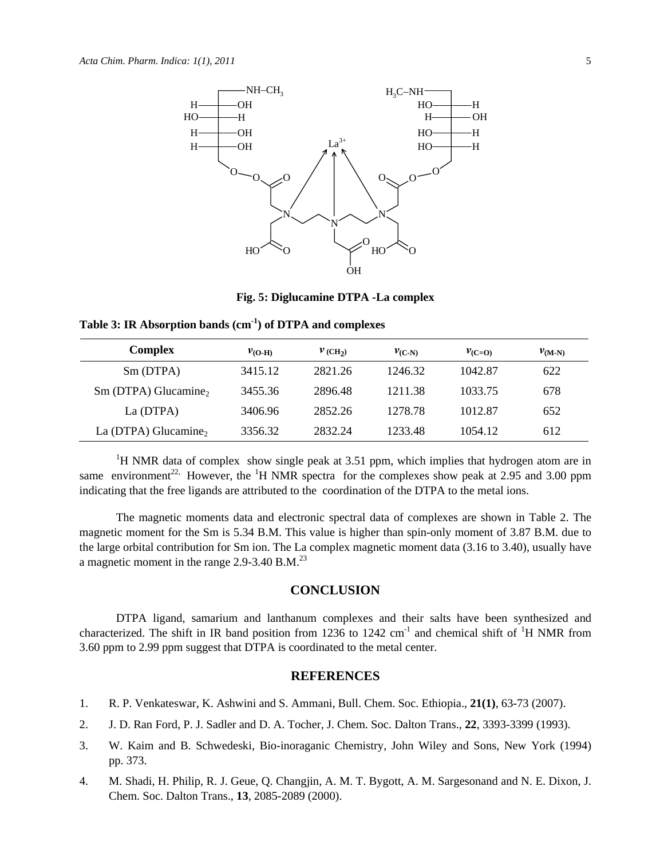

**Fig. 5: Diglucamine DTPA -La complex**

**Table 3: IR Absorption bands (cm-1) of DTPA and complexes** 

| <b>Complex</b>                     | $v_{\rm (O-H)}$ | $V$ (CH <sub>2</sub> ) | $v_{\text{(C-N)}}$ | $v_{(C=O)}$ | $v_{(M-N)}$ |
|------------------------------------|-----------------|------------------------|--------------------|-------------|-------------|
| Sm (DTPA)                          | 3415.12         | 2821.26                | 1246.32            | 1042.87     | 622         |
| $Sm$ (DTPA) Glucamine <sub>2</sub> | 3455.36         | 2896.48                | 1211.38            | 1033.75     | 678         |
| La (DTPA)                          | 3406.96         | 2852.26                | 1278.78            | 1012.87     | 652         |
| La (DTPA) Glucamine <sub>2</sub>   | 3356.32         | 2832.24                | 1233.48            | 1054.12     | 612         |

<sup>1</sup>H NMR data of complex show single peak at 3.51 ppm, which implies that hydrogen atom are in same environment<sup>22,</sup> However, the <sup>1</sup>H NMR spectra for the complexes show peak at 2.95 and 3.00 ppm indicating that the free ligands are attributed to the coordination of the DTPA to the metal ions.

The magnetic moments data and electronic spectral data of complexes are shown in Table 2. The magnetic moment for the Sm is 5.34 B.M. This value is higher than spin-only moment of 3.87 B.M. due to the large orbital contribution for Sm ion. The La complex magnetic moment data (3.16 to 3.40), usually have a magnetic moment in the range  $2.9 - 3.40$  B.M.<sup>23</sup>

### **CONCLUSION**

DTPA ligand, samarium and lanthanum complexes and their salts have been synthesized and characterized. The shift in IR band position from 1236 to 1242 cm<sup>-1</sup> and chemical shift of <sup>1</sup>H NMR from 3.60 ppm to 2.99 ppm suggest that DTPA is coordinated to the metal center.

#### **REFERENCES**

- 1. R. P. Venkateswar, K. Ashwini and S. Ammani, Bull. Chem. Soc. Ethiopia., **21(1)**, 63-73 (2007).
- 2. J. D. Ran Ford, P. J. Sadler and D. A. Tocher, J. Chem. Soc. Dalton Trans., **22**, 3393-3399 (1993).
- 3. W. Kaim and B. Schwedeski, Bio-inoraganic Chemistry, John Wiley and Sons, New York (1994) pp. 373.
- 4. M. Shadi, H. Philip, R. J. Geue, Q. Changjin, A. M. T. Bygott, A. M. Sargesonand and N. E. Dixon, J. Chem. Soc. Dalton Trans., **13**, 2085-2089 (2000).